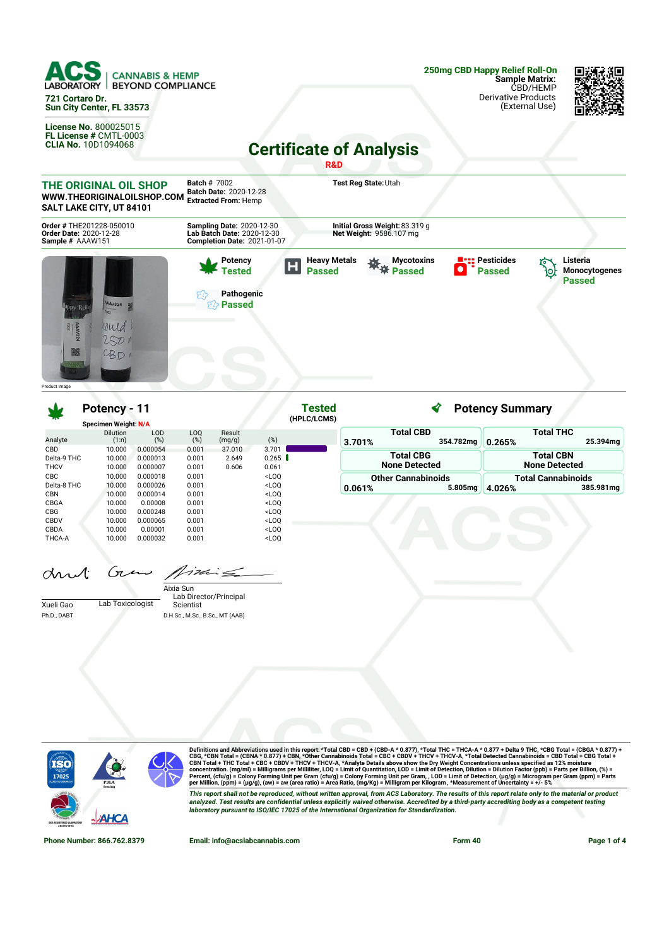

**Sun City Center, FL 33573**

**License No.** 800025015 **FL License #** CMTL-0003 **CLIA No.** 10D1094068 **250mg CBD Happy Relief Roll-On Sample Matrix:** CBD/HEMP Derivative Products (External Use)



**Certificate of Analysis**



|               | ------                      |                   |            |                  |                                                                                                                    | (HPLC/LCMS) |        | ------                        |         |                           |
|---------------|-----------------------------|-------------------|------------|------------------|--------------------------------------------------------------------------------------------------------------------|-------------|--------|-------------------------------|---------|---------------------------|
|               | <b>Specimen Weight: N/A</b> |                   |            |                  |                                                                                                                    |             |        |                               |         |                           |
| Analyte       | <b>Dilution</b><br>(1:n)    | <b>LOD</b><br>(%) | LOQ<br>(%) | Result<br>(mg/g) | (%)                                                                                                                |             | 3.701% | <b>Total CBD</b><br>354.782mg | 0.265%  | Total THC<br>25.394mg     |
| <b>CBD</b>    | 10.000                      | 0.000054          | 0.001      | 37,010           | 3.701                                                                                                              |             |        |                               |         |                           |
| Delta-9 THC   | 10.000                      | 0.000013          | 0.001      | 2.649            | 0.265                                                                                                              |             |        | <b>Total CBG</b>              |         | <b>Total CBN</b>          |
| <b>THCV</b>   | 10.000                      | 0.000007          | 0.001      | 0.606            | 0.061                                                                                                              |             |        | <b>None Detected</b>          |         | <b>None Detected</b>      |
| <b>CBC</b>    | 10.000                      | 0.000018          | 0.001      |                  | <loq< td=""><td></td><td></td><td><b>Other Cannabinoids</b></td><td></td><td><b>Total Cannabinoids</b></td></loq<> |             |        | <b>Other Cannabinoids</b>     |         | <b>Total Cannabinoids</b> |
| Delta-8 THC   | 10.000                      | 0.000026          | 0.001      |                  | <loq< td=""><td></td><td>0.061%</td><td>5.805mg</td><td>14.026%</td><td>385.981mg</td></loq<>                      |             | 0.061% | 5.805mg                       | 14.026% | 385.981mg                 |
| <b>CBN</b>    | 10.000                      | 0.000014          | 0.001      |                  | <loq< td=""><td></td><td></td><td></td><td></td><td></td></loq<>                                                   |             |        |                               |         |                           |
| CBGA          | 10.000                      | 0.00008           | 0.001      |                  | <loq< td=""><td></td><td></td><td></td><td></td><td></td></loq<>                                                   |             |        |                               |         |                           |
| <b>CBG</b>    | 10.000                      | 0.000248          | 0.001      |                  | <loq< td=""><td></td><td></td><td></td><td></td><td></td></loq<>                                                   |             |        |                               |         |                           |
| CBDV          | 10.000                      | 0.000065          | 0.001      |                  | $<$ LOO                                                                                                            |             |        |                               |         |                           |
| CBDA          | 10.000                      | 0.00001           | 0.001      |                  | <loq< td=""><td></td><td></td><td></td><td></td><td></td></loq<>                                                   |             |        |                               |         |                           |
| <b>THCA-A</b> | 10.000                      | 0.000032          | 0.001      |                  | <loq< td=""><td></td><td></td><td></td><td></td><td></td></loq<>                                                   |             |        |                               |         |                           |

and Grow Aime

|             |                  | Aixia Sun                       |
|-------------|------------------|---------------------------------|
|             |                  | Lab Director/Principal          |
| Xueli Gao   | Lab Toxicologist | Scientist                       |
| Ph.D., DABT |                  | D.H.Sc., M.Sc., B.Sc., MT (AAB) |



Definitions and Abbreviations used in this report: \*Total CBD = CBD + (CBD-A \* 0.877), \*Total THC = THCA-A \* 0.877 + Delta 9 THC, \*CBG Total = (CBGA \* 0.877) +<br>CBG, \*CBN Total = (CBNA \* 0.877) + CBN, \*Other Cannabinois To This report shall not be reproduced, without written approval, from ACS Laboratory. The results of this report relate only to the material or product<br>analyzed. Test results are confidential unless explicitly waived otherwi *laboratory pursuant to ISO/IEC 17025 of the International Organization for Standardization.*

**Phone Number: 866.762.8379 Email: info@acslabcannabis.com Form 40 Page 1 of 4**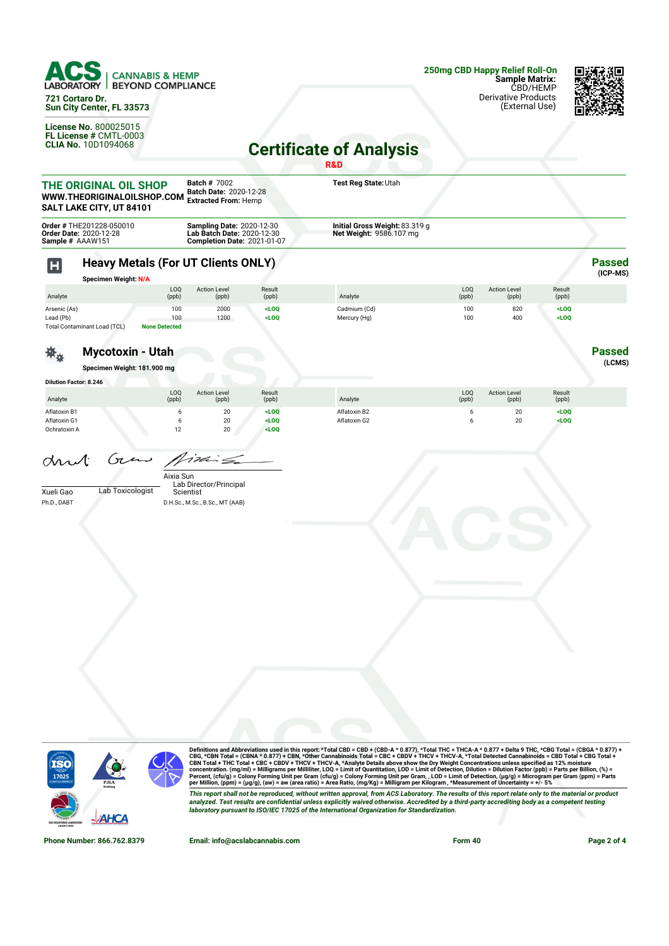

**721 Cortaro Dr. Sun City Center, FL 33573**

**License No.** 800025015 **FL License #** CMTL-0003 **CLIA No.** 10D1094068



## **Certificate of Analysis**

|                                              |                                                                                 |                                                                                                      |                       | R&D                                                       |              |                              |                    |                           |
|----------------------------------------------|---------------------------------------------------------------------------------|------------------------------------------------------------------------------------------------------|-----------------------|-----------------------------------------------------------|--------------|------------------------------|--------------------|---------------------------|
|                                              | THE ORIGINAL OIL SHOP<br>WWW.THEORIGINALOILSHOP.COM<br>SALT LAKE CITY, UT 84101 | <b>Batch # 7002</b><br>Batch Date: 2020-12-28<br><b>Extracted From: Hemp</b>                         |                       | Test Reg State: Utah                                      |              |                              |                    |                           |
| Sample # AAAW151                             | Order # THE201228-050010<br>Order Date: 2020-12-28                              | <b>Sampling Date: 2020-12-30</b><br>Lab Batch Date: 2020-12-30<br><b>Completion Date: 2021-01-07</b> |                       | Initial Gross Weight: 83.319 g<br>Net Weight: 9586.107 mg |              |                              |                    |                           |
| H                                            | <b>Heavy Metals (For UT Clients ONLY)</b><br><b>Specimen Weight: N/A</b>        |                                                                                                      |                       |                                                           |              |                              |                    | <b>Passed</b><br>(ICP-MS) |
| Analyte                                      | LOQ<br>(ppb)                                                                    | <b>Action Level</b><br>(ppb)                                                                         | Result<br>(ppb)       | Analyte                                                   | LOQ<br>(ppb) | <b>Action Level</b><br>(ppb) | Result<br>(ppb)    |                           |
| Arsenic (As)<br>Lead (Pb)                    | 100<br>100<br>Total Contaminant Load (TCL)<br><b>None Detected</b>              | 2000<br>1200                                                                                         | $<$ LOQ<br>$<$ LOQ    | Cadmium (Cd)<br>Mercury (Hg)                              | 100<br>100   | 820<br>400                   | $<$ LOQ<br>$<$ LOQ |                           |
|                                              | <b>Mycotoxin - Utah</b><br>Specimen Weight: 181.900 mg                          |                                                                                                      |                       |                                                           |              |                              |                    | <b>Passed</b><br>(LCMS)   |
| <b>Dilution Factor: 8.246</b>                |                                                                                 |                                                                                                      |                       |                                                           |              |                              |                    |                           |
| Analyte                                      | LOQ<br>(ppb)                                                                    | <b>Action Level</b><br>(ppb)                                                                         | Result<br>(ppb)       | Analyte                                                   | LOQ<br>(ppb) | <b>Action Level</b><br>(ppb) | Result<br>(ppb)    |                           |
| Aflatoxin B1<br>Aflatoxin G1<br>Ochratoxin A | 6<br>6<br>12                                                                    | 20<br>20<br>20                                                                                       | LOO<br>LOO<br>$<$ LOQ | Aflatoxin B2<br>Aflatoxin G2                              | 6<br>6       | 20<br>20                     | $<$ LOQ<br>$<$ LOQ |                           |
| arnt<br>Xueli Gao<br>Ph.D., DABT             | Gun<br>Aixia Sun<br>Lab Toxicologist                                            | $124 =$<br>Lab Director/Principal<br>Scientist<br>D.H.Sc., M.Sc., B.Sc., MT (AAB)                    |                       |                                                           |              |                              |                    |                           |
|                                              |                                                                                 |                                                                                                      |                       |                                                           |              |                              |                    |                           |



Definitions and Abbreviations used in this report: \*Total CBD = CBD + (CBD-A \* 0.877), \*Total THC = THCA-A \* 0.877 + Delta 9 THC, \*CBG Total = (CBGA \* 0.877) +<br>CBG, \*CBN Total = (CBNA \* 0.877) + CBN, \*Other Cannabinois To This report shall not be reproduced, without written approval, from ACS Laboratory. The results of this report relate only to the material or product<br>analyzed. Test results are confidential unless explicitly waived otherwi

**Phone Number: 866.762.8379 Email: info@acslabcannabis.com Form 40 Page 2 of 4**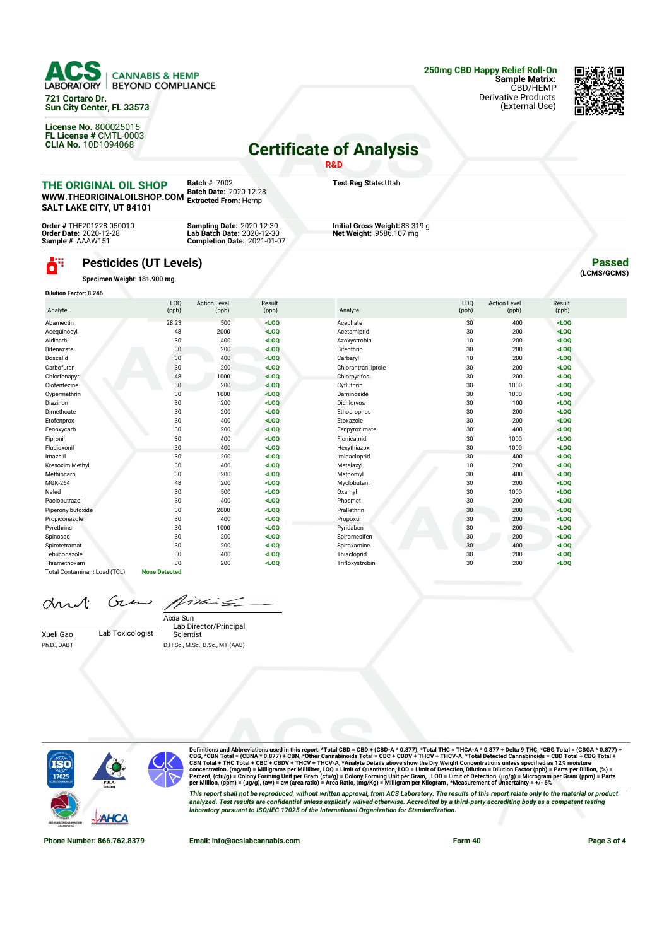

**721 Cortaro Dr. Sun City Center, FL 33573**

**License No.** 800025015 **FL License #** CMTL-0003 **CLIA No.** 10D1094068 (External Use)



## **Certificate of Analysis**

**R&D Batch #** 7002 **Test Reg State:**Utah **THE ORIGINAL OIL SHOP Batch Date:** 2020-12-28 **WWW.THEORIGINALOILSHOP.COM Extracted From:** Hemp **SALT LAKE CITY, UT 84101 Order #** THE201228-050010 **Order Date:** 2020-12-28 **Sample #** AAAW151 **Sampling Date:** 2020-12-30 **Lab Batch Date:** 2020-12-30 **Initial Gross Weight:**83.319 g **Net Weight:** 9586.107 mg **Completion Date:** 2021-01-07 43 **Pesticides (UT Levels) Passed** O **(LCMS/GCMS) Specimen Weight: 181.900 mg Dilution Factor: 8.246** LOQ Result<br>(ppb) LOQ **Action Leve** Action Level Result Analyte (ppb) (ppb) Analyte (ppb) (ppb) (ppb) Abamectin 28.23 500 **<LOQ** Acephate 30 400 **<LOQ** Acequinocyl 48 2000 **<LOQ** Acetamiprid 30 200 **<LOQ** Aldicarb 30 400 **<LOQ** Azoxystrobin 10 200 **<LOQ** Bifenazate 30 200 **<LOQ** Bifenthrin 30 200 **<LOQ** Boscalid 30 400 **<LOQ** Carbaryl 10 200 **<LOQ** Carbofuran 30 200 **<LOQ** Chlorantraniliprole 30 200 **<LOQ** Chlorfenapyr 48 1000 **<LOQ** Chlorpyrifos 30 200 **<LOQ** Clofentezine 30 200 **<LOQ** Cyfluthrin 30 1000 **<LOQ** Cypermethrin 30 1000 **<LOQ** Daminozide 30 1000 **<LOQ**

Diazinon 30 200 **<LOQ** Dichlorvos 30 100 **<LOQ** Dimethoate 30 200 **<LOQ** Ethoprophos 30 200 **<LOQ** Etofenprox 30 400 **<LOQ** Etoxazole 30 200 **<LOQ** Fenoxycarb 30 200 **<LOQ** Fenpyroximate 30 400 **<LOQ** Fipronil 30 400 **<LOQ** Flonicamid 30 1000 **<LOQ** Fludioxonil 30 400 **<LOQ** Hexythiazox 30 1000 **<LOQ** Imazalil 30 200 **<LOQ** Imidacloprid 30 400 **<LOQ** Kresoxim Methyl 30 400 **<LOQ** Metalaxyl 10 200 **<LOQ** Methiocarb 30 200 **<LOQ** Methomyl 30 400 **<LOQ** MGK-264 48 200 **<LOQ** Myclobutanil 30 200 **<LOQ** Naled 30 500 **<LOQ** Oxamyl 30 1000 **<LOQ** Paclobutrazol 30 400 **<LOQ** Phosmet 30 200 **<LOQ** Piperonylbutoxide 30 2000 **<LOQ** Prallethrin 30 200 **<LOQ** Propiconazole 30 400 **<LOQ** Propoxur 30 200 **<LOQ** Pyrethrins 30 1000 **<LOQ** Pyridaben 30 200 **<LOQ** Spinosad 30 200 **<LOQ** Spiromesifen 30 200 **<LOQ** Spirotetramat 30 200 **<LOQ** Spiroxamine 30 400 **<LOQ** Tebuconazole 30 400 **<LOQ** Thiacloprid 30 200 **<LOQ** Thiamethoxam 30 200 **<LOQ** Trifloxystrobin 30 200 **<LOQ**

|  | and Gras Mixing |
|--|-----------------|
|  |                 |

Total Contaminant Load (TCL) **None Detected**

Xueli Gao Lab Toxicologist Ph.D., DABT

Lab Director/Principal Scientist Aixia Sun D.H.Sc., M.Sc., B.Sc., MT (AAB)



Definitions and Abbreviations used in this report: \*Total CBD = CBD + (CBD-A \* 0.877), \*Total THC = THCA-A \* 0.877 + Delta 9 THC, \*CBG Total = (CBGA \* 0.877) +<br>CBG, \*CBN Total = (CBNA \* 0.877) + CBN, \*Other Cannabinois To This report shall not be reproduced, without written approval, from ACS Laboratory. The results of this report relate only to the material or product analyzed. Test results are confidential unless explicitly waived otherwise. Accredited by a third-party accrediting body as a competent testing *laboratory pursuant to ISO/IEC 17025 of the International Organization for Standardization.*

**Phone Number: 866.762.8379 Email: info@acslabcannabis.com Form 40 Page 3 of 4**